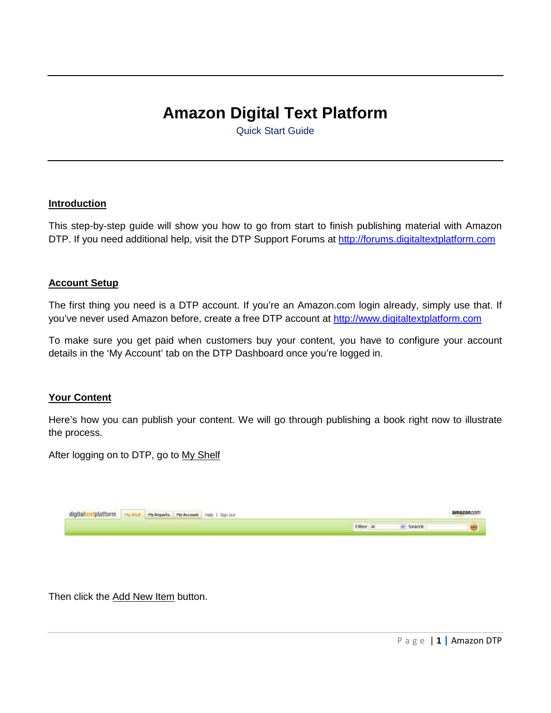## **Amazon Digital Text Platform**

Quick Start Guide

## **Introduction**

This step-by-step guide will show you how to go from start to finish publishing material with Amazon DTP. If you need additional help, visit the DTP Support Forums at http://forums.digitaltextplatform.com

## **Account Setup**

The first thing you need is a DTP account. If you're an Amazon.com login already, simply use that. If you've never used Amazon before, create a free DTP account at http://www.digitaltextplatform.com

To make sure you get paid when customers buy your content, you have to configure your account details in the 'My Account' tab on the DTP Dashboard once you're logged in.

## **Your Content**

Here's how you can publish your content. We will go through publishing a book right now to illustrate the process.

After logging on to DTP, go to My Shelf



Then click the Add New Item button.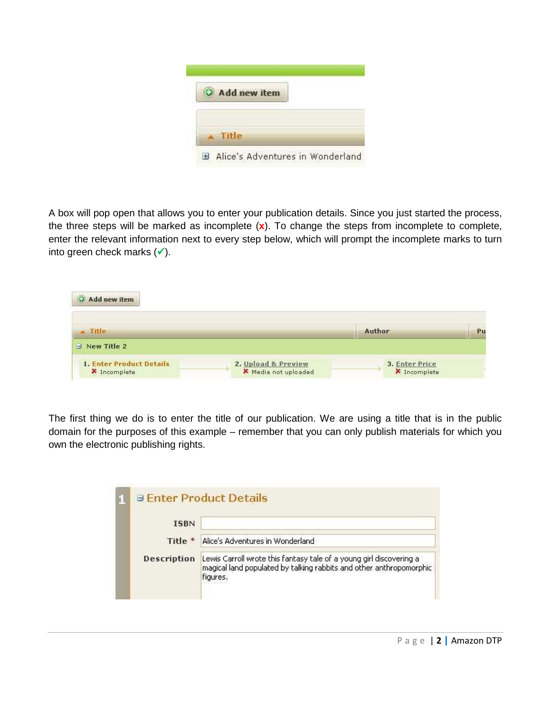| O Add new item |  |
|----------------|--|
| Title          |  |

A box will pop open that allows you to enter your publication details. Since you just started the process, the three steps will be marked as incomplete (**x**). To change the steps from incomplete to complete, enter the relevant information next to every step below, which will prompt the incomplete marks to turn into green check marks  $(\checkmark)$ .

| $\exists$ New Title 2 | 1. Enter Product Details<br>2. Upload & Preview<br>3. Enter Price | $\triangle$ Title | Author | Pu |
|-----------------------|-------------------------------------------------------------------|-------------------|--------|----|
|                       |                                                                   |                   |        |    |
|                       |                                                                   |                   |        |    |

The first thing we do is to enter the title of our publication. We are using a title that is in the public domain for the purposes of this example – remember that you can only publish materials for which you own the electronic publishing rights.

|             | <b>Enter Product Details</b>                                                                                                                           |
|-------------|--------------------------------------------------------------------------------------------------------------------------------------------------------|
| <b>ISBN</b> |                                                                                                                                                        |
| Title *     | Alice's Adventures in Wonderland                                                                                                                       |
| Description | Lewis Carroll wrote this fantasy tale of a young girl discovering a<br>magical land populated by talking rabbits and other anthropomorphic<br>figures. |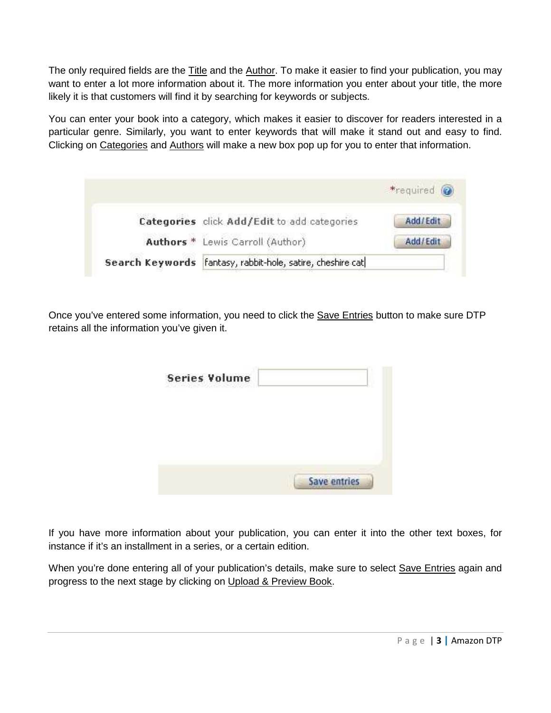The only required fields are the Title and the Author. To make it easier to find your publication, you may want to enter a lot more information about it. The more information you enter about your title, the more likely it is that customers will find it by searching for keywords or subjects.

You can enter your book into a category, which makes it easier to discover for readers interested in a particular genre. Similarly, you want to enter keywords that will make it stand out and easy to find. Clicking on Categories and Authors will make a new box pop up for you to enter that information.

| *required (a)                                                |          |
|--------------------------------------------------------------|----------|
| Categories click Add/Edit to add categories                  | Add/Edit |
| Authors * Lewis Carroll (Author)                             | Add/Edit |
| Search Keywords   fantasy, rabbit-hole, satire, cheshire cat |          |

Once you've entered some information, you need to click the **Save Entries** button to make sure DTP retains all the information you've given it.

| <b>Series Volume</b><br>Wind provide the |                     |
|------------------------------------------|---------------------|
|                                          |                     |
|                                          |                     |
|                                          |                     |
|                                          | <b>Save entries</b> |

If you have more information about your publication, you can enter it into the other text boxes, for instance if it's an installment in a series, or a certain edition.

When you're done entering all of your publication's details, make sure to select Save Entries again and progress to the next stage by clicking on Upload & Preview Book.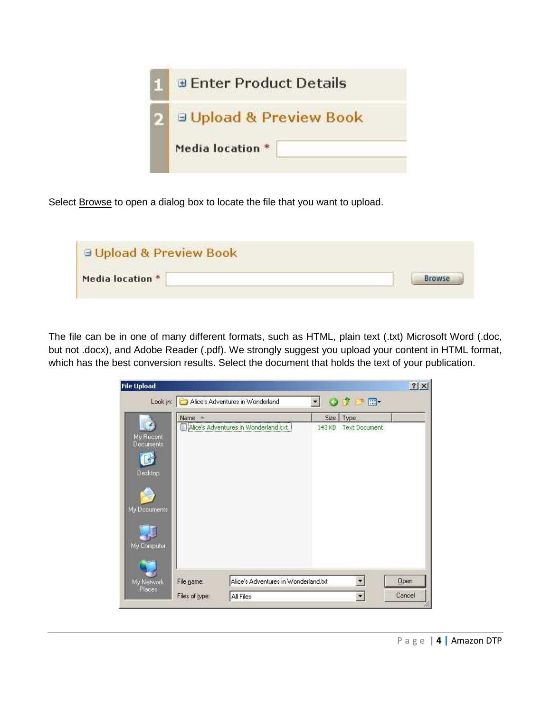

Select **Browse** to open a dialog box to locate the file that you want to upload.

| <b>E Upload &amp; Preview Book</b> |  |
|------------------------------------|--|
| Media location *                   |  |

The file can be in one of many different formats, such as HTML, plain text (.txt) Microsoft Word (.doc, but not .docx), and Adobe Reader (.pdf). We strongly suggest you upload your content in HTML format, which has the best conversion results. Select the document that holds the text of your publication.

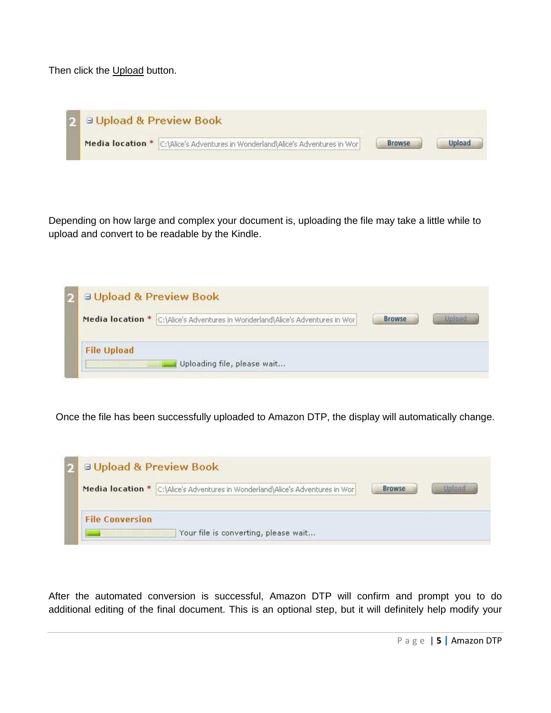Then click the Upload button.

| <b>El Upload &amp; Preview Book</b> |                                                                                                                                                                                                                                                                                                                  |  |
|-------------------------------------|------------------------------------------------------------------------------------------------------------------------------------------------------------------------------------------------------------------------------------------------------------------------------------------------------------------|--|
|                                     | Media location * C:\Alice's Adventures in Wonderland\Alice's Adventures in Wor<br>the contribution of the control of the control of the control of the control of the control of the control of the control of the control of the control of the control of the control of the control of the control of the con |  |

Depending on how large and complex your document is, uploading the file may take a little while to upload and convert to be readable by the Kindle.

| <b>El Upload &amp; Preview Book</b>                                            |        |  |
|--------------------------------------------------------------------------------|--------|--|
| Media location * C:\Alice's Adventures in Wonderland\Alice's Adventures in Wor | Browse |  |
| <b>File Upload</b><br>Uploading file, please wait                              |        |  |

Once the file has been successfully uploaded to Amazon DTP, the display will automatically change.



After the automated conversion is successful, Amazon DTP will confirm and prompt you to do additional editing of the final document. This is an optional step, but it will definitely help modify your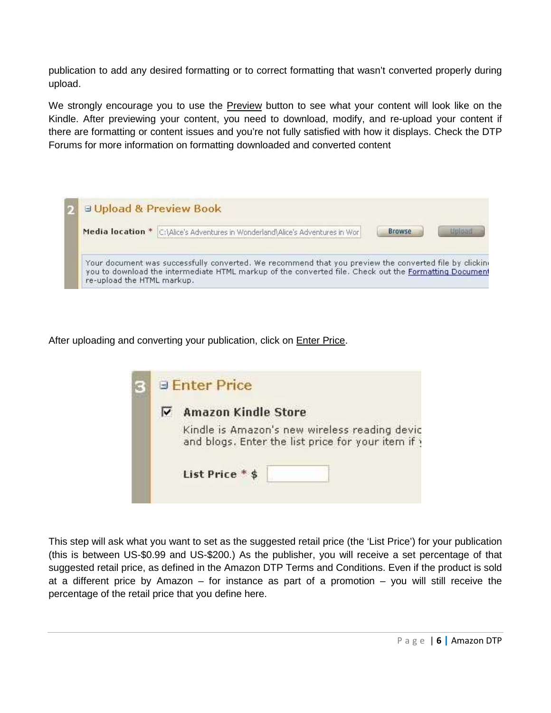publication to add any desired formatting or to correct formatting that wasn't converted properly during upload.

We strongly encourage you to use the Preview button to see what your content will look like on the Kindle. After previewing your content, you need to download, modify, and re-upload your content if there are formatting or content issues and you're not fully satisfied with how it displays. Check the DTP Forums for more information on formatting downloaded and converted content

| <b>El Upload &amp; Preview Book</b>                                                                                                                                                                                                           |  |  |  |
|-----------------------------------------------------------------------------------------------------------------------------------------------------------------------------------------------------------------------------------------------|--|--|--|
| Media location *<br>C:\Alice's Adventures in Wonderland\Alice's Adventures in Wor<br><b>Browse</b><br>Uplayd                                                                                                                                  |  |  |  |
| Your document was successfully converted. We recommend that you preview the converted file by clicking<br>you to download the intermediate HTML markup of the converted file. Check out the Formatting Document<br>re-upload the HTML markup. |  |  |  |

After uploading and converting your publication, click on **Enter Price.** 

| <b>Enter Price</b>                                                                                |
|---------------------------------------------------------------------------------------------------|
| <b>Amazon Kindle Store</b>                                                                        |
| Kindle is Amazon's new wireless reading devic<br>and blogs. Enter the list price for your item if |
| List Price * \$                                                                                   |
|                                                                                                   |

This step will ask what you want to set as the suggested retail price (the 'List Price') for your publication (this is between US-\$0.99 and US-\$200.) As the publisher, you will receive a set percentage of that suggested retail price, as defined in the Amazon DTP Terms and Conditions. Even if the product is sold at a different price by Amazon – for instance as part of a promotion – you will still receive the percentage of the retail price that you define here.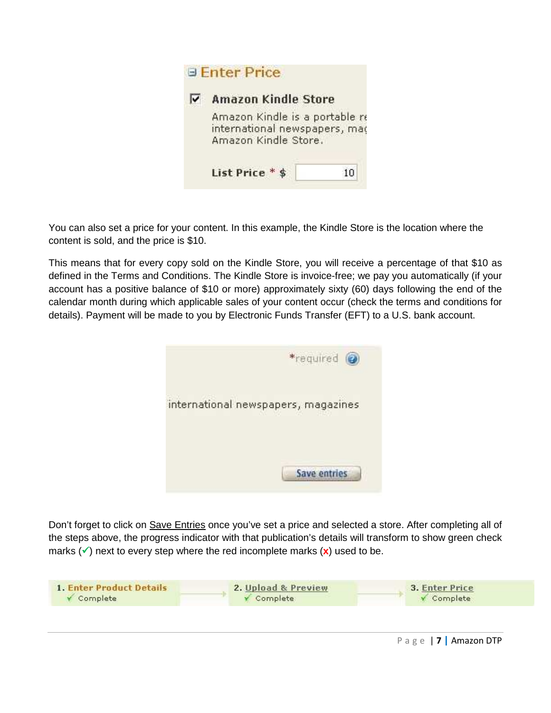

You can also set a price for your content. In this example, the Kindle Store is the location where the content is sold, and the price is \$10.

This means that for every copy sold on the Kindle Store, you will receive a percentage of that \$10 as defined in the Terms and Conditions. The Kindle Store is invoice-free; we pay you automatically (if your account has a positive balance of \$10 or more) approximately sixty (60) days following the end of the calendar month during which applicable sales of your content occur (check the terms and conditions for details). Payment will be made to you by Electronic Funds Transfer (EFT) to a U.S. bank account.



Don't forget to click on Save Entries once you've set a price and selected a store. After completing all of the steps above, the progress indicator with that publication's details will transform to show green check marks  $(\checkmark)$  next to every step where the red incomplete marks  $(\mathbf{x})$  used to be.

| 1. Enter Product Details | 2. Upload & Preview | 3. Enter Price |  |
|--------------------------|---------------------|----------------|--|
| V Complete               | Complete            | Complete       |  |
|                          |                     |                |  |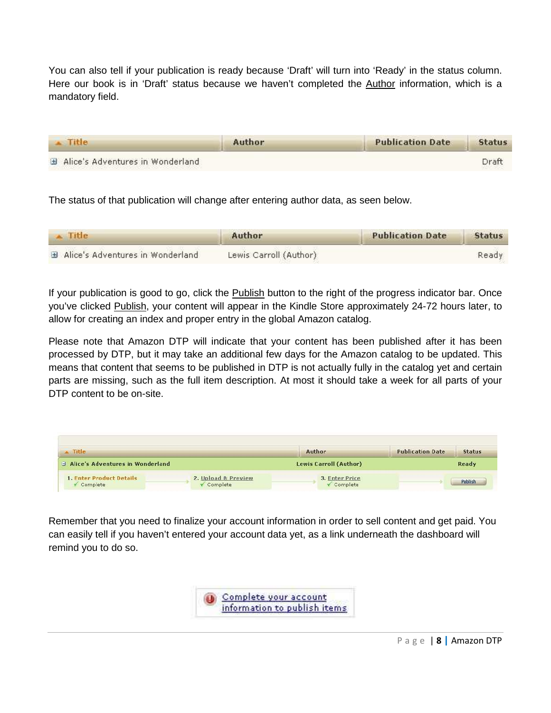You can also tell if your publication is ready because 'Draft' will turn into 'Ready' in the status column. Here our book is in 'Draft' status because we haven't completed the Author information, which is a mandatory field.

| <b>Title</b>                     | Author | <b>Publication Date</b> | <b>Status</b> |
|----------------------------------|--------|-------------------------|---------------|
| Alice's Adventures in Wonderland |        |                         | Draft         |

The status of that publication will change after entering author data, as seen below.

| $\sim$ Title                     | Author                 | <b>Publication Date</b> | <b>Status</b> |
|----------------------------------|------------------------|-------------------------|---------------|
| Alice's Adventures in Wonderland | Lewis Carroll (Author) |                         | Ready         |

If your publication is good to go, click the **Publish** button to the right of the progress indicator bar. Once you've clicked Publish, your content will appear in the Kindle Store approximately 24-72 hours later, to allow for creating an index and proper entry in the global Amazon catalog.

Please note that Amazon DTP will indicate that your content has been published after it has been processed by DTP, but it may take an additional few days for the Amazon catalog to be updated. This means that content that seems to be published in DTP is not actually fully in the catalog yet and certain parts are missing, such as the full item description. At most it should take a week for all parts of your DTP content to be on-site.

| Title                            |                     | Author                 | <b>Publication Date</b> | <b>Status</b> |
|----------------------------------|---------------------|------------------------|-------------------------|---------------|
| Alice's Adventures in Wonderland |                     | Lewis Carroll (Author) |                         | Ready         |
| <b>1. Enter Product Details</b>  | 2. Upload & Preview | 3. Enter Price         |                         | Publish       |

Remember that you need to finalize your account information in order to sell content and get paid. You can easily tell if you haven't entered your account data yet, as a link underneath the dashboard will remind you to do so.